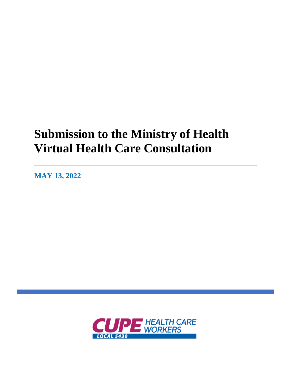# **Submission to the Ministry of Health Virtual Health Care Consultation**

**MAY 13, 2022**

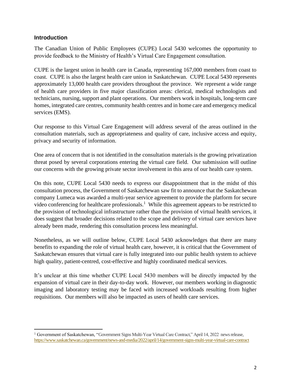#### **Introduction**

The Canadian Union of Public Employees (CUPE) Local 5430 welcomes the opportunity to provide feedback to the Ministry of Health's Virtual Care Engagement consultation.

CUPE is the largest union in health care in Canada, representing 167,000 members from coast to coast. CUPE is also the largest health care union in Saskatchewan. CUPE Local 5430 represents approximately 13,000 health care providers throughout the province. We represent a wide range of health care providers in five major classification areas: clerical, medical technologists and technicians, nursing, support and plant operations. Our members work in hospitals, long-term care homes, integrated care centres, community health centres and in home care and emergency medical services (EMS).

Our response to this Virtual Care Engagement will address several of the areas outlined in the consultation materials, such as appropriateness and quality of care, inclusive access and equity, privacy and security of information.

One area of concern that is not identified in the consultation materials is the growing privatization threat posed by several corporations entering the virtual care field. Our submission will outline our concerns with the growing private sector involvement in this area of our health care system.

On this note, CUPE Local 5430 needs to express our disappointment that in the midst of this consultation process, the Government of Saskatchewan saw fit to announce that the Saskatchewan company Lumeca was awarded a multi-year service agreement to provide the platform for secure video conferencing for healthcare professionals.<sup>1</sup> While this agreement appears to be restricted to the provision of technological infrastructure rather than the provision of virtual health services, it does suggest that broader decisions related to the scope and delivery of virtual care services have already been made, rendering this consultation process less meaningful.

Nonetheless, as we will outline below, CUPE Local 5430 acknowledges that there are many benefits to expanding the role of virtual health care, however, it is critical that the Government of Saskatchewan ensures that virtual care is fully integrated into our public health system to achieve high quality, patient-centred, cost-effective and highly coordinated medical services.

It's unclear at this time whether CUPE Local 5430 members will be directly impacted by the expansion of virtual care in their day-to-day work. However, our members working in diagnostic imaging and laboratory testing may be faced with increased workloads resulting from higher requisitions. Our members will also be impacted as users of health care services.

<sup>&</sup>lt;sup>1</sup> Government of Saskatchewan, "Government Signs Multi-Year Virtual Care Contract," April 14, 2022 news release, <https://www.saskatchewan.ca/government/news-and-media/2022/april/14/government-signs-multi-year-virtual-care-contract>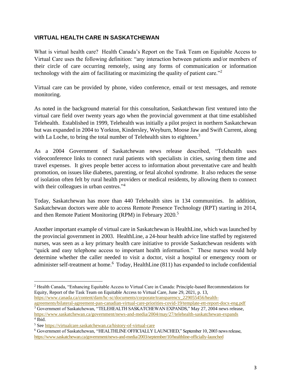## **VIRTUAL HEALTH CARE IN SASKATCHEWAN**

What is virtual health care? Health Canada's Report on the Task Team on Equitable Access to Virtual Care uses the following definition: "any interaction between patients and/or members of their circle of care occurring remotely, using any forms of communication or information technology with the aim of facilitating or maximizing the quality of patient care."<sup>2</sup>

Virtual care can be provided by phone, video conference, email or text messages, and remote monitoring.

As noted in the background material for this consultation, Saskatchewan first ventured into the virtual care field over twenty years ago when the provincial government at that time established Telehealth. Established in 1999, Telehealth was initially a pilot project in northern Saskatchewan but was expanded in 2004 to Yorkton, Kindersley, Weyburn, Moose Jaw and Swift Current, along with La Loche, to bring the total number of Telehealth sites to eighteen.<sup>3</sup>

As a 2004 Government of Saskatchewan news release described, "Telehealth uses videoconference links to connect rural patients with specialists in cities, saving them time and travel expenses. It gives people better access to information about preventative care and health promotion, on issues like diabetes, parenting, or fetal alcohol syndrome. It also reduces the sense of isolation often felt by rural health providers or medical residents, by allowing them to connect with their colleagues in urban centres."<sup>4</sup>

Today, Saskatchewan has more than 440 Telehealth sites in 134 communities. In addition, Saskatchewan doctors were able to access Remote Presence Technology (RPT) starting in 2014, and then Remote Patient Monitoring (RPM) in February 2020.<sup>5</sup>

Another important example of virtual care in Saskatchewan is HealthLine, which was launched by the provincial government in 2003. HealthLine, a 24-hour health advice line staffed by registered nurses, was seen as a key primary health care initiative to provide Saskatchewan residents with "quick and easy telephone access to important health information." These nurses would help determine whether the caller needed to visit a doctor, visit a hospital or emergency room or administer self-treatment at home.<sup>6</sup> Today, HealthLine (811) has expanded to include confidential

[https://www.canada.ca/content/dam/hc-sc/documents/corporate/transparency\\_229055456/health](https://www.canada.ca/content/dam/hc-sc/documents/corporate/transparency_229055456/health-agreements/bilateral-agreement-pan-canadian-virtual-care-priorities-covid-19/template-ett-report-docx-eng.pdf)[agreements/bilateral-agreement-pan-canadian-virtual-care-priorities-covid-19/template-ett-report-docx-eng.pdf](https://www.canada.ca/content/dam/hc-sc/documents/corporate/transparency_229055456/health-agreements/bilateral-agreement-pan-canadian-virtual-care-priorities-covid-19/template-ett-report-docx-eng.pdf) <sup>3</sup> Government of Saskatchewan, "TELEHEALTH SASKATCHEWAN EXPANDS," May 27, 2004 news release, <https://www.saskatchewan.ca/government/news-and-media/2004/may/27/telehealth-saskatchewan-expands> 4 Ibid.

<sup>2</sup> Health Canada, "Enhancing Equitable Access to Virtual Care in Canada: Principle-based Recommendations for Equity, Report of the Task Team on Equitable Access to Virtual Care, June 29, 2021, p. 13,

<sup>5</sup> Se[e https://virtualcare.saskatchewan.ca/history-of-virtual-care](https://virtualcare.saskatchewan.ca/history-of-virtual-care)

<sup>6</sup> Government of Saskatchewan, "HEALTHLINE OFFICIALLY LAUNCHED," September 10, 2003 news release, <https://www.saskatchewan.ca/government/news-and-media/2003/september/10/healthline-officially-launched>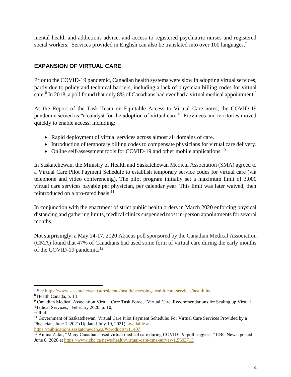mental health and addictions advice, and access to registered psychiatric nurses and registered social workers. Services provided in English can also be translated into over 100 languages.<sup>7</sup>

# **EXPANSION OF VIRTUAL CARE**

Prior to the COVID-19 pandemic, Canadian health systems were slow in adopting virtual services, partly due to policy and technical barriers, including a lack of physician billing codes for virtual care.<sup>8</sup> In 2018, a poll found that only 8% of Canadians had ever had a virtual medical appointment.<sup>9</sup>

As the Report of the Task Team on Equitable Access to Virtual Care notes, the COVID-19 pandemic served as "a catalyst for the adoption of virtual care." Provinces and territories moved quickly to enable access, including:

- Rapid deployment of virtual services across almost all domains of care.
- Introduction of temporary billing codes to compensate physicians for virtual care delivery.
- Online self-assessment tools for COVID-19 and other mobile applications.<sup>10</sup>

In Saskatchewan, the Ministry of Health and Saskatchewan Medical Association (SMA) agreed to a Virtual Care Pilot Payment Schedule to establish temporary service codes for virtual care (via telephone and video conferencing). The pilot program initially set a maximum limit of 3,000 virtual care services payable per physician, per calendar year. This limit was later waived, then reintroduced on a pro-rated basis. $11$ 

In conjunction with the enactment of strict public health orders in March 2020 enforcing physical distancing and gathering limits, medical clinics suspended most in-person appointments for several months.

Not surprisingly, a May 14-17, 2020 Abacus poll sponsored by the Canadian Medical Association (CMA) found that 47% of Canadians had used some form of virtual care during the early months of the COVID-19 pandemic.<sup>12</sup>

<sup>7</sup> Se[e https://www.saskatchewan.ca/residents/health/accessing-health-care-services/healthline](https://www.saskatchewan.ca/residents/health/accessing-health-care-services/healthline)

<sup>8</sup> Health Canada, p. 13

<sup>9</sup> Canadian Medical Association Virtual Care Task Force, "Virtual Care, Recommendations for Scaling up Virtual Medical Services," February 2020, p. 10,

 $10$  Ibid.

<sup>&</sup>lt;sup>11</sup> Government of Saskatchewan, Virtual Care Pilot Payment Schedule: For Virtual Care Services Provided by a Physician, June 1, 2021(Updated July 19, 2021), [available at](file:///C:/Users/tgramchuk/AppData/Local/Microsoft/Windows/INetCache/Content.Outlook/ACVOAT01/available%20at%20https:/publications.saskatchewan.ca/%23/products/111407)  [https://publications.saskatchewan.ca/#/products/111407](file:///C:/Users/tgramchuk/AppData/Local/Microsoft/Windows/INetCache/Content.Outlook/ACVOAT01/available%20at%20https:/publications.saskatchewan.ca/%23/products/111407)

 $12$  Amina Zafar, "Many Canadians used virtual medical care during COVID-19, poll suggests," CBC News, posted June 8, 2020 at<https://www.cbc.ca/news/health/virtual-care-cma-survey-1.5603713>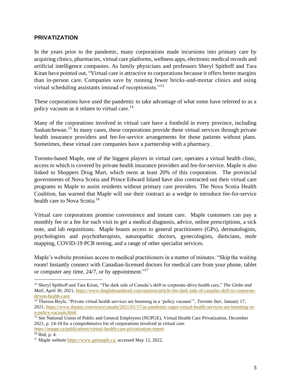#### **PRIVATIZATION**

In the years prior to the pandemic, many corporations made incursions into primary care by acquiring clinics, pharmacies, virtual care platforms, wellness apps, electronic medical records and artificial intelligence companies. As family physicians and professors Sheryl Spithoff and Tara Kiran have pointed out, "Virtual care is attractive to corporations because it offers better margins than in-person care. Companies save by running fewer bricks-and-mortar clinics and using virtual scheduling assistants instead of receptionists."<sup>13</sup>

These corporations have used the pandemic to take advantage of what some have referred to as a policy vacuum as it relates to virtual care.<sup>14</sup>

Many of the corporations involved in virtual care have a foothold in every province, including Saskatchewan.<sup>15</sup> In many cases, these corporations provide these virtual services through private health insurance providers and fee-for-service arrangements for those patients without plans. Sometimes, these virtual care companies have a partnership with a pharmacy.

Toronto-based Maple, one of the biggest players in virtual care, operates a virtual health clinic, access to which is covered by private health insurance providers and fee-for-service. Maple is also linked to Shoppers Drug Mart, which owns at least 20% of this corporation. The provincial governments of Nova Scotia and Prince Edward Island have also contracted out their virtual care programs to Maple to assist residents without primary care providers. The Nova Scotia Health Coalition, has warned that Maple will use their contract as a wedge to introduce fee-for-service health care to Nova Scotia.<sup>16</sup>

Virtual care corporations promise convenience and instant care. Maple customers can pay a monthly fee or a fee for each visit to get a medical diagnosis, advice, online prescriptions, a sick note, and lab requisitions. Maple boasts access to general practitioners (GPs), dermatologists, psychologists and psychotherapists, naturopathic doctors, gynecologists, dieticians, mole mapping, COVID-19 PCR testing, and a range of other specialist services.

Maple's website promises access to medical practitioners in a matter of minutes: "Skip the waiting room! Instantly connect with Canadian-licensed doctors for medical care from your phone, tablet or computer any time,  $24/7$ , or by appointment."<sup>17</sup>

<sup>13</sup> Sheryl Spithoff and Tara Kiran, "The dark side of Canada's shift to corporate-drive health care," *The Globe and Mail*, April 30, 2021, [https://www.theglobeandmail.com/opinion/article-the-dark-side-of-canadas-shift-to-corporate](https://www.theglobeandmail.com/opinion/article-the-dark-side-of-canadas-shift-to-corporate-driven-health-care/)[driven-health-care/](https://www.theglobeandmail.com/opinion/article-the-dark-side-of-canadas-shift-to-corporate-driven-health-care/)

<sup>14</sup> Theresa Boyle, "Private virtual health services are booming in a 'policy vacuum'", *Toronto Star*, January 17, 2021, [https://www.thestar.com/news/canada/2021/01/17/as-pandemic-rages-virtual-health-services-are-booming-in](https://www.thestar.com/news/canada/2021/01/17/as-pandemic-rages-virtual-health-services-are-booming-in-a-policy-vacuum.html)[a-policy-vacuum.html](https://www.thestar.com/news/canada/2021/01/17/as-pandemic-rages-virtual-health-services-are-booming-in-a-policy-vacuum.html)

<sup>&</sup>lt;sup>15</sup> See National Union of Public and General Employees (NUPGE), Virtual Health Care Privatization, December 2021, p. 14-18 for a comprehensive list of corporations involved in virtual care.

<https://nupge.ca/publications/virtual-health-care-privatization-report>

<sup>16</sup> Ibid, p. 4.

<sup>&</sup>lt;sup>17</sup> Maple website<https://www.getmaple.ca/> accessed May 12, 2022.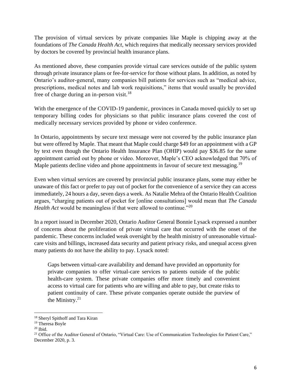The provision of virtual services by private companies like Maple is chipping away at the foundations of *The Canada Health Act*, which requires that medically necessary services provided by doctors be covered by provincial health insurance plans.

As mentioned above, these companies provide virtual care services outside of the public system through private insurance plans or fee-for-service for those without plans. In addition, as noted by Ontario's auditor-general, many companies bill patients for services such as "medical advice, prescriptions, medical notes and lab work requisitions," items that would usually be provided free of charge during an in-person visit.<sup>18</sup>

With the emergence of the COVID-19 pandemic, provinces in Canada moved quickly to set up temporary billing codes for physicians so that public insurance plans covered the cost of medically necessary services provided by phone or video conference.

In Ontario, appointments by secure text message were not covered by the public insurance plan but were offered by Maple. That meant that Maple could charge \$49 for an appointment with a GP by text even though the Ontario Health Insurance Plan (OHIP) would pay \$36.85 for the same appointment carried out by phone or video. Moreover, Maple's CEO acknowledged that 70% of Maple patients decline video and phone appointments in favour of secure text messaging.<sup>19</sup>

Even when virtual services are covered by provincial public insurance plans, some may either be unaware of this fact or prefer to pay out of pocket for the convenience of a service they can access immediately, 24 hours a day, seven days a week. As Natalie Mehra of the Ontario Health Coalition argues, "charging patients out of pocket for [online consultations] would mean that *The Canada Health Act* would be meaningless if that were allowed to continue."<sup>20</sup>

In a report issued in December 2020, Ontario Auditor General Bonnie Lysack expressed a number of concerns about the proliferation of private virtual care that occurred with the onset of the pandemic. These concerns included weak oversight by the health ministry of unreasonable virtualcare visits and billings, increased data security and patient privacy risks, and unequal access given many patients do not have the ability to pay. Lysack noted:

Gaps between virtual-care availability and demand have provided an opportunity for private companies to offer virtual-care services to patients outside of the public health-care system. These private companies offer more timely and convenient access to virtual care for patients who are willing and able to pay, but create risks to patient continuity of care. These private companies operate outside the purview of the Ministry. $21$ 

<sup>18</sup> Sheryl Spithoff and Tara Kiran

<sup>&</sup>lt;sup>19</sup> Theresa Boyle

 $20$  Ibid.

<sup>&</sup>lt;sup>21</sup> Office of the Auditor General of Ontario, "Virtual Care: Use of Communication Technologies for Patient Care," December 2020, p. 3.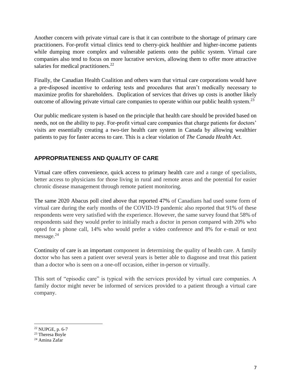Another concern with private virtual care is that it can contribute to the shortage of primary care practitioners. For-profit virtual clinics tend to cherry-pick healthier and higher-income patients while dumping more complex and vulnerable patients onto the public system. Virtual care companies also tend to focus on more lucrative services, allowing them to offer more attractive salaries for medical practitioners. $^{22}$ 

Finally, the Canadian Health Coalition and others warn that virtual care corporations would have a pre-disposed incentive to ordering tests and procedures that aren't medically necessary to maximize profits for shareholders. Duplication of services that drives up costs is another likely outcome of allowing private virtual care companies to operate within our public health system.<sup>23</sup>

Our public medicare system is based on the principle that health care should be provided based on needs, not on the ability to pay. For-profit virtual care companies that charge patients for doctors' visits are essentially creating a two-tier health care system in Canada by allowing wealthier patients to pay for faster access to care. This is a clear violation of *The Canada Health Act.*

# **APPROPRIATENESS AND QUALITY OF CARE**

Virtual care offers convenience, quick access to primary health care and a range of specialists, better access to physicians for those living in rural and remote areas and the potential for easier chronic disease management through remote patient monitoring.

The same 2020 Abacus poll cited above that reported 47% of Canadians had used some form of virtual care during the early months of the COVID-19 pandemic also reported that 91% of these respondents were very satisfied with the experience. However, the same survey found that 58% of respondents said they would prefer to initially reach a doctor in person compared with 20% who opted for a phone call, 14% who would prefer a video conference and 8% for e-mail or text message.<sup>24</sup>

Continuity of care is an important component in determining the quality of health care. A family doctor who has seen a patient over several years is better able to diagnose and treat this patient than a doctor who is seen on a one-off occasion, either in-person or virtually.

This sort of "episodic care" is typical with the services provided by virtual care companies. A family doctor might never be informed of services provided to a patient through a virtual care company.

<sup>22</sup> NUPGE, p. 6-7

<sup>23</sup> Theresa Boyle

<sup>24</sup> Amina Zafar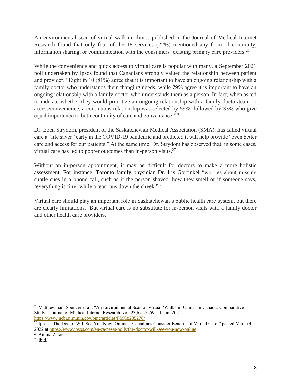An environmental scan of virtual walk-in clinics published in the Journal of Medical Internet Research found that only four of the 18 services (22%) mentioned any form of continuity, information sharing, or communication with the consumers' existing primary care providers.<sup>25</sup>

While the convenience and quick access to virtual care is popular with many, a September 2021 poll undertaken by Ipsos found that Canadians strongly valued the relationship between patient and provider. "Eight in 10 (81%) agree that it is important to have an ongoing relationship with a family doctor who understands their changing needs, while 79% agree it is important to have an ongoing relationship with a family doctor who understands them as a person. In fact, when asked to indicate whether they would prioritize an ongoing relationship with a family doctor/team or access/convenience, a continuous relationship was selected by 59%, followed by 33% who give equal importance to both continuity of care and convenience."<sup>26</sup>

Dr. Eben Strydom, president of the Saskatchewan Medical Association (SMA), has called virtual care a "life saver" early in the COVID-19 pandemic and predicted it will help provide "even better care and access for our patients." At the same time, Dr. Strydom has observed that, in some cases, virtual care has led to poorer outcomes than in-person visits.<sup>27</sup>

Without an in-person appointment, it may be difficult for doctors to make a more holistic assessment. For instance, Toronto family physician Dr. Iris Gorfinkel "worries about missing subtle cues in a phone call, such as if the person shaved, how they smell or if someone says, 'everything is fine' while a tear runs down the cheek."<sup>28</sup>

Virtual care should play an important role in Saskatchewan's public health care system, but there are clearly limitations. But virtual care is no substitute for in-person visits with a family doctor and other health care providers.

<sup>25</sup> Matthewman, Spencer et al., "An Environmental Scan of Virtual 'Walk-In' Clinics in Canada: Comparative Study." Journal of Medical Internet Research, vol. 23,6 e27259, 11 Jun. 2021, <https://www.ncbi.nlm.nih.gov/pmc/articles/PMC8235276/>

<sup>&</sup>lt;sup>26</sup> Ipsos, "The Doctor Will See You Now, Online – Canadians Consider Benefits of Virtual Care," posted March 4, 2022 at https://www.ipsos.com/en-ca/news-polls/the-doctor-will-see-you-now-online

<sup>&</sup>lt;sup>27</sup> Amina Zafar

 $28$  Ibid.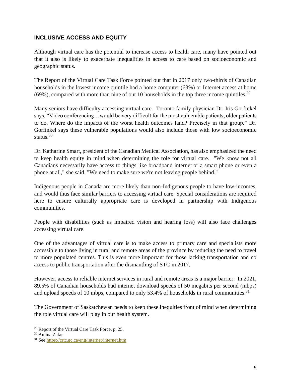## **INCLUSIVE ACCESS AND EQUITY**

Although virtual care has the potential to increase access to health care, many have pointed out that it also is likely to exacerbate inequalities in access to care based on socioeconomic and geographic status.

The Report of the Virtual Care Task Force pointed out that in 2017 only two-thirds of Canadian households in the lowest income quintile had a home computer (63%) or Internet access at home  $(69\%)$ , compared with more than nine of out 10 households in the top three income quintiles.<sup>29</sup>

Many seniors have difficulty accessing virtual care. Toronto family physician Dr. Iris Gorfinkel says, "Video conferencing…would be very difficult for the most vulnerable patients, older patients to do. Where do the impacts of the worst health outcomes land? Precisely in that group." Dr. Gorfinkel says these vulnerable populations would also include those with low socioeconomic status.<sup>30</sup>

Dr. Katharine Smart, president of the Canadian Medical Association, has also emphasized the need to keep health equity in mind when determining the role for virtual care. "We know not all Canadians necessarily have access to things like broadband internet or a smart phone or even a phone at all," she said. "We need to make sure we're not leaving people behind."

Indigenous people in Canada are more likely than non-Indigenous people to have low-incomes, and would thus face similar barriers to accessing virtual care. Special considerations are required here to ensure culturally appropriate care is developed in partnership with Indigenous communities.

People with disabilities (such as impaired vision and hearing loss) will also face challenges accessing virtual care.

One of the advantages of virtual care is to make access to primary care and specialists more accessible to those living in rural and remote areas of the province by reducing the need to travel to more populated centres. This is even more important for those lacking transportation and no access to public transportation after the dismantling of STC in 2017.

However, access to reliable internet services in rural and remote areas is a major barrier. In 2021, 89.5% of Canadian households had internet download speeds of 50 megabits per second (mbps) and upload speeds of 10 mbps, compared to only 53.4% of households in rural communities.<sup>31</sup>

The Government of Saskatchewan needs to keep these inequities front of mind when determining the role virtual care will play in our health system.

<sup>29</sup> Report of the Virtual Care Task Force, p. 25.

<sup>30</sup> Amina Zafar

<sup>31</sup> See<https://crtc.gc.ca/eng/internet/internet.htm>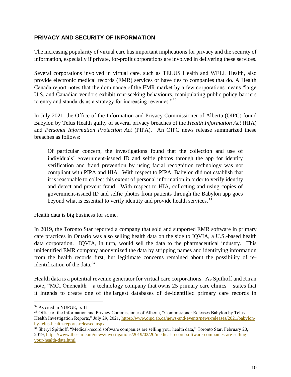## **PRIVACY AND SECURITY OF INFORMATION**

The increasing popularity of virtual care has important implications for privacy and the security of information, especially if private, for-profit corporations are involved in delivering these services.

Several corporations involved in virtual care, such as TELUS Health and WELL Health, also provide electronic medical records (EMR) services or have ties to companies that do. A Health Canada report notes that the dominance of the EMR market by a few corporations means "large U.S. and Canadian vendors exhibit rent-seeking behaviours, manipulating public policy barriers to entry and standards as a strategy for increasing revenues."<sup>32</sup>

In July 2021, the Office of the Information and Privacy Commissioner of Alberta (OIPC) found Babylon by Telus Health guilty of several privacy breaches of the *Health Information Act* (HIA) and *Personal Information Protection Act* (PIPA). An OIPC news release summarized these breaches as follows:

Of particular concern, the investigations found that the collection and use of individuals' government-issued ID and selfie photos through the app for identity verification and fraud prevention by using facial recognition technology was not compliant with PIPA and HIA. With respect to PIPA, Babylon did not establish that it is reasonable to collect this extent of personal information in order to verify identity and detect and prevent fraud. With respect to HIA, collecting and using copies of government-issued ID and selfie photos from patients through the Babylon app goes beyond what is essential to verify identity and provide health services.<sup>33</sup>

Health data is big business for some.

In 2019, the Toronto Star reported a company that sold and supported EMR software in primary care practices in Ontario was also selling health data on the side to IQVIA, a U.S.-based health data corporation. IQVIA, in turn, would sell the data to the pharmaceutical industry. This unidentified EMR company anonymized the data by stripping names and identifying information from the health records first, but legitimate concerns remained about the possibility of reidentification of the data. 34

Health data is a potential revenue generator for virtual care corporations. As Spithoff and Kiran note, "MCI Onehealth – a technology company that owns 25 primary care clinics – states that it intends to create one of the [largest databases of de-identified primary care records in](https://web.archive.org/web/20210209182923/https:/investor.mcionehealth.com/static-files/78f6ac37-8913-44a6-852c-c9ef35a467da) 

<sup>32</sup> As cited in NUPGE, p. 11

<sup>&</sup>lt;sup>33</sup> Office of the Information and Privacy Commissioner of Alberta, "Commissioner Releases Babylon by Telus Health Investigation Reports," July 29, 2021[, https://www.oipc.ab.ca/news-and-events/news-releases/2021/babylon](https://www.oipc.ab.ca/news-and-events/news-releases/2021/babylon-by-telus-health-reports-released.aspx)[by-telus-health-reports-released.aspx](https://www.oipc.ab.ca/news-and-events/news-releases/2021/babylon-by-telus-health-reports-released.aspx)

<sup>&</sup>lt;sup>34</sup> Sheryl Spithoff, "Medical-record software companies are selling your health data," Toronto Star, February 20, 2019, [https://www.thestar.com/news/investigations/2019/02/20/medical-record-software-companies-are-selling](https://www.thestar.com/news/investigations/2019/02/20/medical-record-software-companies-are-selling-your-health-data.html)[your-health-data.html](https://www.thestar.com/news/investigations/2019/02/20/medical-record-software-companies-are-selling-your-health-data.html)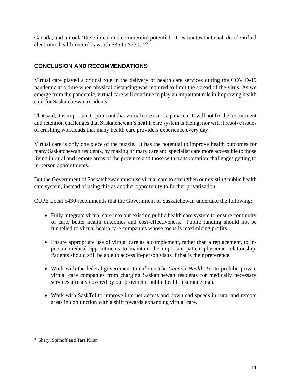[Canada,](https://web.archive.org/web/20210209182923/https:/investor.mcionehealth.com/static-files/78f6ac37-8913-44a6-852c-c9ef35a467da) and unlock 'the clinical and commercial potential.' It estimates that each de-identified electronic health record is worth \$35 to \$330."<sup>35</sup>

# **CONCLUSION AND RECOMMENDATIONS**

Virtual care played a critical role in the delivery of health care services during the COVID-19 pandemic at a time when physical distancing was required to limit the spread of the virus. As we emerge from the pandemic, virtual care will continue to play an important role in improving health care for Saskatchewan residents.

That said, it is important to point out that virtual care is not a panacea. It will not fix the recruitment and retention challenges that Saskatchewan's health care system is facing, nor will it resolve issues of crushing workloads that many health care providers experience every day.

Virtual care is only one piece of the puzzle. It has the potential to improve health outcomes for many Saskatchewan residents, by making primary care and specialist care more accessible to those living in rural and remote areas of the province and those with transportation challenges getting to in-person appointments.

But the Government of Saskatchewan must use virtual care to strengthen our existing public health care system, instead of using this as another opportunity to further privatization.

CUPE Local 5430 recommends that the Government of Saskatchewan undertake the following:

- Fully integrate virtual care into our existing public health care system to ensure continuity of care, better health outcomes and cost-effectiveness. Public funding should not be funnelled to virtual health care companies whose focus is maximizing profits.
- Ensure appropriate use of virtual care as a complement, rather than a replacement, to inperson medical appointments to maintain the important patient-physician relationship. Patients should still be able to access in-person visits if that is their preference.
- Work with the federal government to enforce *The Canada Health Act* to prohibit private virtual care companies from charging Saskatchewan residents for medically necessary services already covered by our provincial public health insurance plan.
- Work with SaskTel to improve internet access and download speeds in rural and remote areas in conjunction with a shift towards expanding virtual care.

<sup>&</sup>lt;sup>35</sup> Sheryl Spithoff and Tara Kiran